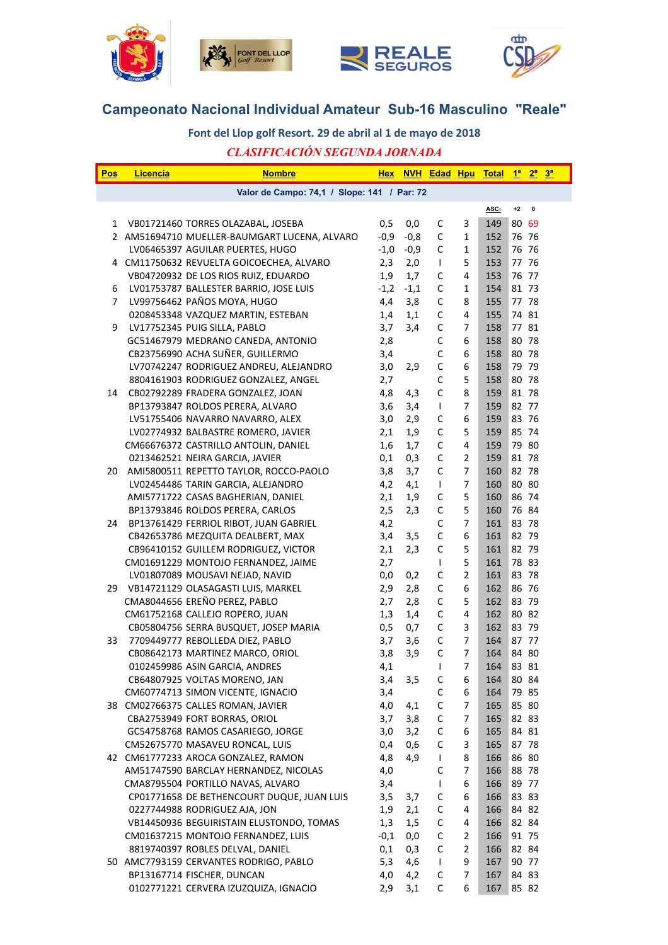







# **Campeonato Nacional Individual Amateur Sub-16 Masculino "Reale"**

## Font del Llop golf Resort. 29 de abril al 1 de mayo de 2018

## *CLASIFICACIÓN SEGUNDA JORNADA*

| Pos | <b>Licencia</b> | <b>Nombre</b>                                | <b>Hex</b> |        |              |                | NVH Edad Hpu Total 1ª 2ª 3ª |       |           |  |
|-----|-----------------|----------------------------------------------|------------|--------|--------------|----------------|-----------------------------|-------|-----------|--|
|     |                 | Valor de Campo: 74,1 / Slope: 141 / Par: 72  |            |        |              |                |                             |       |           |  |
|     |                 |                                              |            |        |              |                | ASC:                        | $+2$  | $\pmb{0}$ |  |
| 1   |                 | VB01721460 TORRES OLAZABAL, JOSEBA           | 0,5        | 0,0    | C            | 3              | 149                         | 80 69 |           |  |
|     |                 | 2 AM51694710 MUELLER-BAUMGART LUCENA, ALVARO | $-0,9$     | $-0,8$ | $\mathsf C$  | $\mathbf{1}$   | 152                         | 76 76 |           |  |
|     |                 | LV06465397 AGUILAR PUERTES, HUGO             | $-1,0$     | $-0,9$ | $\mathsf C$  | $\mathbf{1}$   | 152                         | 76 76 |           |  |
|     |                 | 4 CM11750632 REVUELTA GOICOECHEA, ALVARO     | 2,3        | 2,0    | $\mathbf{I}$ | 5              | 153                         | 77 76 |           |  |
|     |                 | VB04720932 DE LOS RIOS RUIZ, EDUARDO         | 1,9        | 1,7    | С            | 4              | 153                         | 76 77 |           |  |
| 6   |                 | LV01753787 BALLESTER BARRIO, JOSE LUIS       | $-1,2$     | $-1,1$ | C            | 1              | 154                         | 81 73 |           |  |
| 7   |                 | LV99756462 PAÑOS MOYA, HUGO                  | 4,4        | 3,8    | $\mathsf C$  | 8              | 155                         | 77 78 |           |  |
|     |                 | 0208453348 VAZQUEZ MARTIN, ESTEBAN           | 1,4        | 1,1    | $\mathsf{C}$ | 4              | 155                         | 74 81 |           |  |
| 9   |                 | LV17752345 PUIG SILLA, PABLO                 | 3,7        | 3,4    | $\mathsf C$  | 7              | 158                         | 77 81 |           |  |
|     |                 | GC51467979 MEDRANO CANEDA, ANTONIO           | 2,8        |        | C            | 6              | 158                         | 80 78 |           |  |
|     |                 | CB23756990 ACHA SUÑER, GUILLERMO             | 3,4        |        | C            | 6              | 158                         | 80 78 |           |  |
|     |                 | LV70742247 RODRIGUEZ ANDREU, ALEJANDRO       | 3,0        | 2,9    | $\mathsf C$  | 6              | 158                         | 79 79 |           |  |
|     |                 | 8804161903 RODRIGUEZ GONZALEZ, ANGEL         | 2,7        |        | C            | 5              | 158                         | 80 78 |           |  |
| 14  |                 | CB02792289 FRADERA GONZALEZ, JOAN            | 4,8        | 4,3    | $\mathsf C$  | 8              | 159                         | 81 78 |           |  |
|     |                 | BP13793847 ROLDOS PERERA, ALVARO             | 3,6        | 3,4    | $\mathbf{I}$ | 7              | 159                         | 82 77 |           |  |
|     |                 | LV51755406 NAVARRO NAVARRO, ALEX             | 3,0        | 2,9    | C            | 6              | 159                         | 83 76 |           |  |
|     |                 | LV02774932 BALBASTRE ROMERO, JAVIER          | 2,1        | 1,9    | C            | 5              | 159                         | 85 74 |           |  |
|     |                 | CM66676372 CASTRILLO ANTOLIN, DANIEL         | 1,6        | 1,7    | C            | 4              | 159                         | 79 80 |           |  |
|     |                 | 0213462521 NEIRA GARCIA, JAVIER              | 0,1        | 0,3    | C            | $\overline{2}$ | 159                         | 81 78 |           |  |
| 20  |                 | AMI5800511 REPETTO TAYLOR, ROCCO-PAOLO       | 3,8        | 3,7    | C            | 7              | 160                         | 82 78 |           |  |
|     |                 | LV02454486 TARIN GARCIA, ALEJANDRO           | 4,2        | 4,1    | T            | 7              | 160                         | 80 80 |           |  |
|     |                 | AMI5771722 CASAS BAGHERIAN, DANIEL           | 2,1        | 1,9    | C            | 5              | 160                         | 86 74 |           |  |
|     |                 | BP13793846 ROLDOS PERERA, CARLOS             | 2,5        | 2,3    | $\mathsf C$  | 5              | 160                         | 76 84 |           |  |
| 24  |                 | BP13761429 FERRIOL RIBOT, JUAN GABRIEL       | 4,2        |        | C            | $\overline{7}$ | 161                         | 83 78 |           |  |
|     |                 | CB42653786 MEZQUITA DEALBERT, MAX            | 3,4        | 3,5    | $\mathsf C$  | 6              | 161                         | 82 79 |           |  |
|     |                 | CB96410152 GUILLEM RODRIGUEZ, VICTOR         | 2,1        | 2,3    | $\mathsf C$  | 5              | 161                         | 82 79 |           |  |
|     |                 | CM01691229 MONTOJO FERNANDEZ, JAIME          | 2,7        |        | $\mathsf{L}$ | 5              | 161                         | 78 83 |           |  |
|     |                 | LV01807089 MOUSAVI NEJAD, NAVID              | 0,0        | 0,2    | $\mathsf C$  | $\overline{2}$ | 161                         | 83 78 |           |  |
| 29  |                 | VB14721129 OLASAGASTI LUIS, MARKEL           | 2,9        | 2,8    | C            | 6              | 162                         | 86 76 |           |  |
|     |                 | CMA8044656 EREÑO PEREZ, PABLO                | 2,7        | 2,8    | C            | 5              | 162                         | 83 79 |           |  |
|     |                 | CM61752168 CALLEJO ROPERO, JUAN              | 1,3        | 1,4    | C            | 4              | 162                         | 80 82 |           |  |
|     |                 | CB05804756 SERRA BUSQUET, JOSEP MARIA        | 0,5        | 0,7    | C            | 3              | 162                         | 83 79 |           |  |
| 33  |                 | 7709449777 REBOLLEDA DIEZ, PABLO             | 3,7        | 3,6    | С            | 7              | 164                         | 87 77 |           |  |
|     |                 | CB08642173 MARTINEZ MARCO, ORIOL             | 3,8        | 3,9    | $\mathsf C$  | 7              | 164                         | 84 80 |           |  |
|     |                 | 0102459986 ASIN GARCIA, ANDRES               | 4,1        |        | T            | 7              | 164                         | 83 81 |           |  |
|     |                 | CB64807925 VOLTAS MORENO, JAN                | 3,4        | 3,5    | C            | 6              | 164                         | 80 84 |           |  |
|     |                 | CM60774713 SIMON VICENTE, IGNACIO            | 3,4        |        | $\mathsf C$  | 6              | 164                         | 79 85 |           |  |
|     |                 | 38 CM02766375 CALLES ROMAN, JAVIER           | 4,0        | 4,1    | $\mathsf C$  | 7              | 165                         | 85 80 |           |  |
|     |                 | CBA2753949 FORT BORRAS, ORIOL                | 3,7        | 3,8    | $\mathsf C$  | 7              | 165                         | 82 83 |           |  |
|     |                 | GC54758768 RAMOS CASARIEGO, JORGE            | 3,0        | 3,2    | $\mathsf C$  | 6              | 165                         | 84 81 |           |  |
|     |                 | CM52675770 MASAVEU RONCAL, LUIS              | 0,4        | 0,6    | $\mathsf C$  | 3              | 165                         | 87 78 |           |  |
|     |                 | 42 CM61777233 AROCA GONZALEZ, RAMON          | 4,8        | 4,9    | T            | 8              | 166                         | 86 80 |           |  |
|     |                 | AM51747590 BARCLAY HERNANDEZ, NICOLAS        | 4,0        |        | С            | 7              | 166                         | 88 78 |           |  |
|     |                 | CMA8795504 PORTILLO NAVAS, ALVARO            | 3,4        |        | T            | 6              | 166                         | 89 77 |           |  |
|     |                 | CP01771658 DE BETHENCOURT DUQUE, JUAN LUIS   | 3,5        | 3,7    | С            | 6              | 166                         | 83 83 |           |  |
|     |                 | 0227744988 RODRIGUEZ AJA, JON                | 1,9        | 2,1    | С            | 4              | 166                         | 84 82 |           |  |
|     |                 | VB14450936 BEGUIRISTAIN ELUSTONDO, TOMAS     | 1,3        | 1,5    | C            | 4              | 166                         | 82 84 |           |  |
|     |                 | CM01637215 MONTOJO FERNANDEZ, LUIS           | $-0,1$     | 0,0    | С            | 2              | 166                         | 91 75 |           |  |
|     |                 | 8819740397 ROBLES DELVAL, DANIEL             | 0,1        | 0,3    | С            | $\overline{2}$ | 166                         | 82 84 |           |  |
|     |                 | 50 AMC7793159 CERVANTES RODRIGO, PABLO       | 5,3        | 4,6    | T            | 9              | 167                         | 90 77 |           |  |
|     |                 | BP13167714 FISCHER, DUNCAN                   | 4,0        | 4,2    | С            | 7              | 167                         | 84 83 |           |  |
|     |                 | 0102771221 CERVERA IZUZQUIZA, IGNACIO        | 2,9        | 3,1    | С            | 6              | 167                         | 85 82 |           |  |